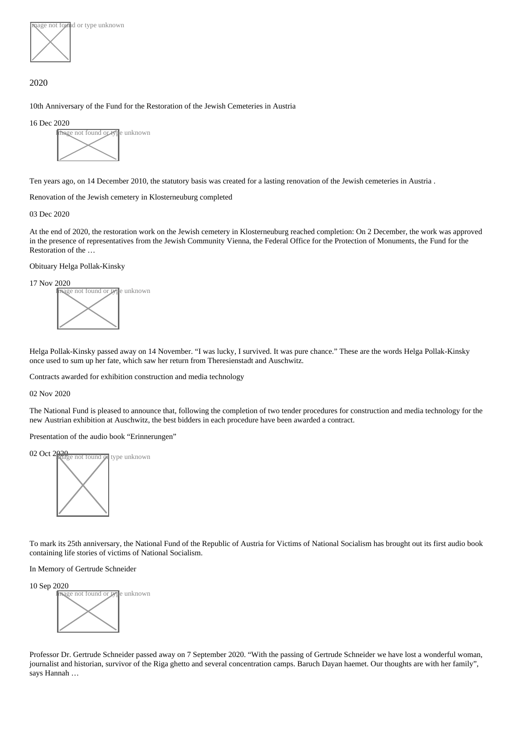age not found or type unknown

## 2020

[10th Anniversary of the Fund for the Restoration of the Jewish Cemeteries in](https://www.entschaedigungsfonds.org/press-release/10th-anniversary-of-the-fund-for-the-restoration-of-the-jewish-cemeteries-in-austria) Austria

16 Dec 2020



Ten years ago, on 14 December 2010, the statutory basis was created for a lasting renovation of the Jewish cemeteries in Austria .

[Renovation of the Jewish cemetery in Klosterneuburg comp](https://www.entschaedigungsfonds.org/press-release/renovation-of-the-jewish-cemetery-in-klosterneuburg-completed)leted

03 Dec 2020

At the end of 2020, the restoration work on the Jewish cemetery in Klosterneuburg reached completion: On 2 December, the work was appro in the presence of representatives from the Jewish Community Vienna, the Federal Office for the Protection of Monuments, the Fund for the Restoration of the …

#### [Obituary Helga Pollak-Kinsk](https://www.entschaedigungsfonds.org/press-release/obituary-helga-pollak-kinsky)y



Helga Pollak-Kinsky passed away on 14 November. "I was lucky, I survived. It was pure chance." These are the words Helga Pollak-Kinsky once used to sum up her fate, which saw her return from Theresienstadt and Auschwitz.

[Contracts awarded for exhibition construction and media techn](https://www.entschaedigungsfonds.org/press-release/contracts-awarded-for-exhibition-construction-and-media-technology)ology

02 Nov 2020

The National Fund is pleased to announce that, following the completion of two tender procedures for construction and media technology for the new Austrian exhibition at Auschwitz, the best bidders in each procedure have been awarded a contract.

[Presentation of the audio book "Erinnerung](https://www.entschaedigungsfonds.org/press-release/presentation-of-the-audio-book-erinnerungen)en"



To mark its 25th anniversary, the National Fund of the Republic of Austria for Victims of National Socialism has brought out its first audio bool containing life stories of victims of National Socialism.

[In Memory of Gertrude Schneid](https://www.entschaedigungsfonds.org/press-release/in-memory-of-gertrude-schneider)er



Professor Dr. Gertrude Schneider passed away on 7 September 2020. "With the passing of Gertrude Schneider we have lost a wonderful wor journalist and historian, survivor of the Riga ghetto and several concentration camps. Baruch Dayan haemet. Our thoughts are with her family says Hannah …